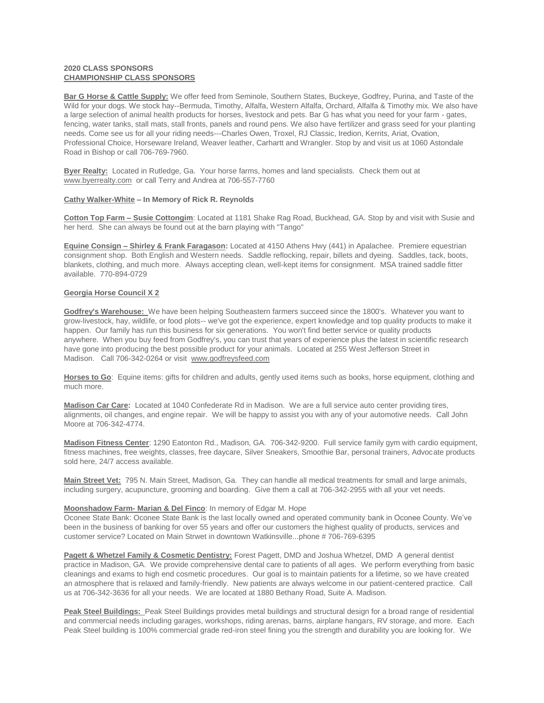# **2020 CLASS SPONSORS CHAMPIONSHIP CLASS SPONSORS**

**Bar G Horse & Cattle Supply:** We offer feed from Seminole, Southern States, Buckeye, Godfrey, Purina, and Taste of the Wild for your dogs. We stock hay--Bermuda, Timothy, Alfalfa, Western Alfalfa, Orchard, Alfalfa & Timothy mix. We also have a large selection of animal health products for horses, livestock and pets. Bar G has what you need for your farm - gates, fencing, water tanks, stall mats, stall fronts, panels and round pens. We also have fertilizer and grass seed for your planting needs. Come see us for all your riding needs---Charles Owen, Troxel, RJ Classic, Iredion, Kerrits, Ariat, Ovation, Professional Choice, Horseware Ireland, Weaver leather, Carhartt and Wrangler. Stop by and visit us at 1060 Astondale Road in Bishop or call 706-769-7960.

**Byer Realty:** Located in Rutledge, Ga. Your horse farms, homes and land specialists. Check them out at [www.byerrealty.com](https://kel-mac.us9.list-manage.com/track/click?u=360fa488a08b6e40167450249&id=81af395bb4&e=9579edd11e) or call Terry and Andrea at 706-557-7760

## **Cathy Walker-White – In Memory of Rick R. Reynolds**

**Cotton Top Farm – Susie Cottongim**: Located at 1181 Shake Rag Road, Buckhead, GA. Stop by and visit with Susie and her herd. She can always be found out at the barn playing with "Tango"

**Equine Consign – Shirley & Frank Faragason:** Located at 4150 Athens Hwy (441) in Apalachee. Premiere equestrian consignment shop. Both English and Western needs. Saddle reflocking, repair, billets and dyeing. Saddles, tack, boots, blankets, clothing, and much more. Always accepting clean, well-kept items for consignment. MSA trained saddle fitter available. 770-894-0729

## **Georgia Horse Council X 2**

**Godfrey's Warehouse:** We have been helping Southeastern farmers succeed since the 1800's. Whatever you want to grow-livestock, hay, wildlife, or food plots-- we've got the experience, expert knowledge and top quality products to make it happen. Our family has run this business for six generations. You won't find better service or quality products anywhere. When you buy feed from Godfrey's, you can trust that years of experience plus the latest in scientific research have gone into producing the best possible product for your animals. Located at 255 West Jefferson Street in Madison. Call 706-342-0264 or visit [www.godfreysfeed.com](https://kel-mac.us9.list-manage.com/track/click?u=360fa488a08b6e40167450249&id=d400a39b0c&e=9579edd11e)

**Horses to Go**: Equine items: gifts for children and adults, gently used items such as books, horse equipment, clothing and much more.

**Madison Car Care:** Located at 1040 Confederate Rd in Madison. We are a full service auto center providing tires, alignments, oil changes, and engine repair. We will be happy to assist you with any of your automotive needs. Call John Moore at 706-342-4774.

**Madison Fitness Center**: 1290 Eatonton Rd., Madison, GA. 706-342-9200. Full service family gym with cardio equipment, fitness machines, free weights, classes, free daycare, Silver Sneakers, Smoothie Bar, personal trainers, Advocate products sold here, 24/7 access available.

**Main Street Vet:** 795 N. Main Street, Madison, Ga. They can handle all medical treatments for small and large animals, including surgery, acupuncture, grooming and boarding. Give them a call at 706-342-2955 with all your vet needs.

### **Moonshadow Farm- Marian & Del Finco**: In memory of Edgar M. Hope

Oconee State Bank: Oconee State Bank is the last locally owned and operated community bank in Oconee County. We've been in the business of banking for over 55 years and offer our customers the highest quality of products, services and customer service? Located on Main Strwet in downtown Watkinsville...phone # 706-769-6395

**Pagett & Whetzel Family & Cosmetic Dentistry:** Forest Pagett, DMD and Joshua Whetzel, DMD A general dentist practice in Madison, GA. We provide comprehensive dental care to patients of all ages. We perform everything from basic cleanings and exams to high end cosmetic procedures. Our goal is to maintain patients for a lifetime, so we have created an atmosphere that is relaxed and family-friendly. New patients are always welcome in our patient-centered practice. Call us at 706-342-3636 for all your needs. We are located at 1880 Bethany Road, Suite A. Madison.

**Peak Steel Buildings:** Peak Steel Buildings provides metal buildings and structural design for a broad range of residential and commercial needs including garages, workshops, riding arenas, barns, airplane hangars, RV storage, and more. Each Peak Steel building is 100% commercial grade red-iron steel fining you the strength and durability you are looking for. We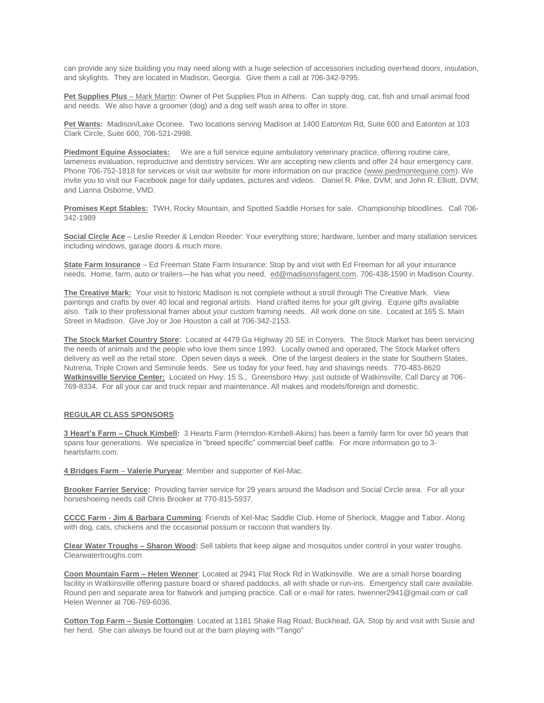can provide any size building you may need along with a huge selection of accessories including overhead doors, insulation, and skylights. They are located in Madison, Georgia. Give them a call at 706-342-9795.

**Pet Supplies Plus** – Mark Martin: Owner of Pet Supplies Plus in Athens. Can supply dog, cat, fish and small animal food and needs. We also have a groomer (dog) and a dog self wash area to offer in store.

**Pet Wants:** Madison/Lake Oconee. Two locations serving Madison at 1400 Eatonton Rd, Suite 600 and Eatonton at 103 Clark Circle, Suite 600, 706-521-2998.

**Piedmont Equine Associates:** We are a full service equine ambulatory veterinary practice, offering routine care, lameness evaluation, reproductive and dentistry services. We are accepting new clients and offer 24 hour emergency care. Phone 706-752-1818 for services or visit our website for more information on our practice [\(www.piedmontequine.com\)](https://kel-mac.us9.list-manage.com/track/click?u=360fa488a08b6e40167450249&id=a460353bf7&e=9579edd11e). We invite you to visit our Facebook page for daily updates, pictures and videos. Daniel R. Pike, DVM; and John R. Elliott, DVM; and Lianna Osborne, VMD.

**Promises Kept Stables:** TWH, Rocky Mountain, and Spotted Saddle Horses for sale. Championship bloodlines. Call 706- 342-1989

**Social Circle Ace** – Leslie Reeder & Lendon Reeder: Your everything store; hardware, lumber and many stallation services including windows, garage doors & much more.

**State Farm Insurance** – Ed Freeman State Farm Insurance: Stop by and visit with Ed Freeman for all your insurance needs. Home, farm, auto or trailers—he has what you need. [ed@madisonsfagent.com,](mailto:ed@madisonsfagent.com) 706-438-1590 in Madison County.

**The Creative Mark:** Your visit to historic Madison is not complete without a stroll through The Creative Mark. View paintings and crafts by over 40 local and regional artists. Hand crafted items for your gift giving. Equine gifts available also. Talk to their professional framer about your custom framing needs. All work done on site. Located at 165 S. Main Street in Madison. Give Joy or Joe Houston a call at 706-342-2153.

**The Stock Market Country Store:** Located at 4479 Ga Highway 20 SE in Conyers. The Stock Market has been servicing the needs of animals and the people who love them since 1993. Locally owned and operated, The Stock Market offers delivery as well as the retail store. Open seven days a week. One of the largest dealers in the state for Southern States, Nutrena, Triple Crown and Seminole feeds. See us today for your feed, hay and shavings needs. 770-483-8620 **Watkinsville Service Center:** Located on Hwy. 15 S., Greensboro Hwy. just outside of Watkinsville, Call Darcy at 706- 769-8334. For all your car and truck repair and maintenance. All makes and models/foreign and domestic.

### **REGULAR CLASS SPONSORS**

**3 Heart's Farm – Chuck Kimbell:** 3 Hearts Farm (Herndon-Kimbell-Akins) has been a family farm for over 50 years that spans four generations. We specialize in "breed specific" commercial beef cattle. For more information go to 3 heartsfarm.com.

**4 Bridges Farm** – **Valerie Puryear**: Member and supporter of Kel-Mac.

**Brooker Farrier Service:** Providing farrier service for 29 years around the Madison and Social Circle area. For all your horseshoeing needs call Chris Brooker at 770-815-5937.

**CCCC Farm - Jim & Barbara Cumming**: Friends of Kel-Mac Saddle Club. Home of Sherlock, Maggie and Tabor. Along with dog, cats, chickens and the occasional possum or raccoon that wanders by.

**Clear Water Troughs – Sharon Wood:** Sell tablets that keep algae and mosquitos under control in your water troughs. Clearwatertroughs.com

**Coon Mountain Farm – Helen Wenner**: Located at 2941 Flat Rock Rd in Watkinsville. We are a small horse boarding facility in Watkinsville offering pasture board or shared paddocks, all with shade or run-ins. Emergency stall care available. Round pen and separate area for flatwork and jumping practice. Call or e-mail for rates. hwenner2941@gmail.com or call Helen Wenner at 706-769-6036.

**Cotton Top Farm – Susie Cottongim**: Located at 1181 Shake Rag Road, Buckhead, GA. Stop by and visit with Susie and her herd. She can always be found out at the barn playing with "Tango"